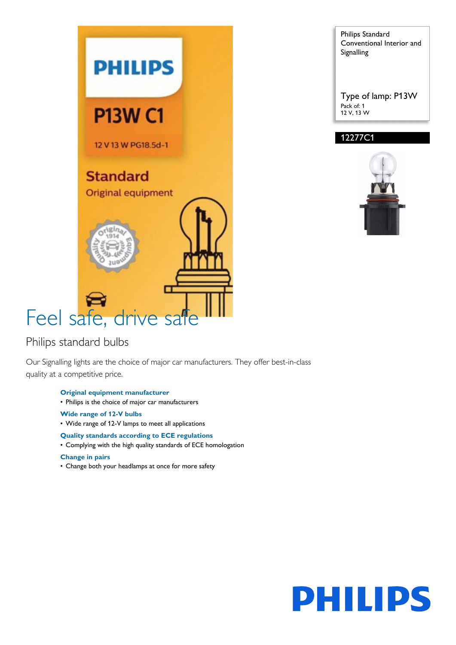

### Philips standard bulbs

Our Signalling lights are the choice of major car manufacturers. They offer best-in-class quality at a competitive price.

- **Original equipment manufacturer**
- Philips is the choice of major car manufacturers
- **Wide range of 12-V bulbs**
- Wide range of 12-V lamps to meet all applications

#### **Quality standards according to ECE regulations**

• Complying with the high quality standards of ECE homologation

#### **Change in pairs**

• Change both your headlamps at once for more safety

Philips Standard Conventional Interior and Signalling

Type of lamp: P13W Pack of: 1 12 V, 13 W

### 12277C1